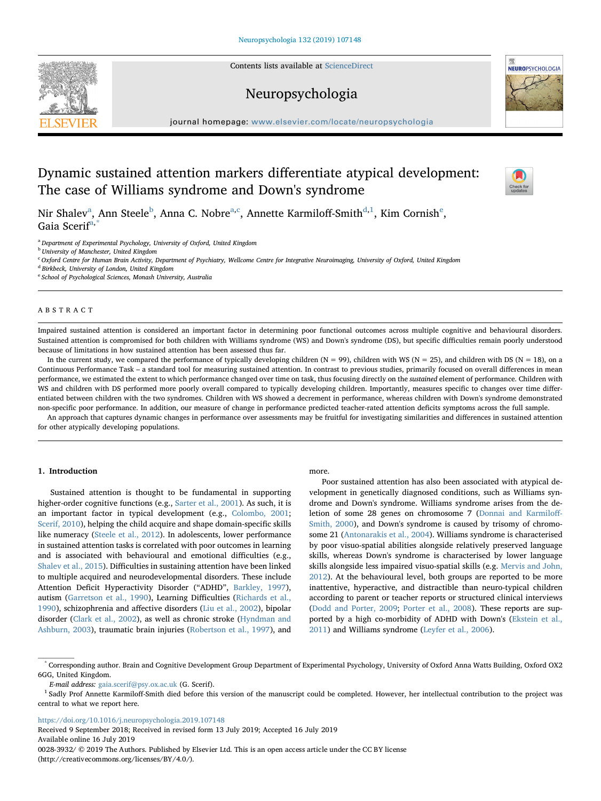Contents lists available at [ScienceDirect](http://www.sciencedirect.com/science/journal/00283932)







journal homepage: [www.elsevier.com/locate/neuropsychologia](https://www.elsevier.com/locate/neuropsychologia)

# Dynamic sustained attention markers differentiate atypical development: The case of Williams syndrome and Down's syndrome



Nir Sh[a](#page-0-0)lev<sup>a</sup>, Ann Steele<sup>[b](#page-0-1)</sup>, Anna C. Nobre<sup>a[,c](#page-0-2)</sup>, Annette Karmiloff-Smith<sup>[d](#page-0-3)[,1](#page-0-4)</sup>, Kim Cornish<sup>[e](#page-0-5)</sup>, Gaia Scerif<sup>[a,](#page-0-0)[\\*](#page-0-6)</sup>

<span id="page-0-0"></span><sup>a</sup> Department of Experimental Psychology, University of Oxford, United Kingdom

<span id="page-0-1"></span>**b** University of Manchester, United Kingdom

<span id="page-0-2"></span><sup>c</sup> Oxford Centre for Human Brain Activity, Department of Psychiatry, Wellcome Centre for Integrative Neuroimaging, University of Oxford, United Kingdom

<span id="page-0-3"></span><sup>d</sup> Birkbeck, University of London, United Kingdom

<span id="page-0-5"></span><sup>e</sup> School of Psychological Sciences, Monash University, Australia

## ABSTRACT

Impaired sustained attention is considered an important factor in determining poor functional outcomes across multiple cognitive and behavioural disorders. Sustained attention is compromised for both children with Williams syndrome (WS) and Down's syndrome (DS), but specific difficulties remain poorly understood because of limitations in how sustained attention has been assessed thus far.

In the current study, we compared the performance of typically developing children (N = 99), children with WS (N = 25), and children with DS (N = 18), on a Continuous Performance Task – a standard tool for measuring sustained attention. In contrast to previous studies, primarily focused on overall differences in mean performance, we estimated the extent to which performance changed over time on task, thus focusing directly on the sustained element of performance. Children with WS and children with DS performed more poorly overall compared to typically developing children. Importantly, measures specific to changes over time differentiated between children with the two syndromes. Children with WS showed a decrement in performance, whereas children with Down's syndrome demonstrated non-specific poor performance. In addition, our measure of change in performance predicted teacher-rated attention deficits symptoms across the full sample.

An approach that captures dynamic changes in performance over assessments may be fruitful for investigating similarities and differences in sustained attention for other atypically developing populations.

#### 1. Introduction

Sustained attention is thought to be fundamental in supporting higher-order cognitive functions (e.g., [Sarter et al., 2001\)](#page-7-0). As such, it is an important factor in typical development (e.g., [Colombo, 2001](#page-7-1); [Scerif, 2010\)](#page-7-2), helping the child acquire and shape domain-specific skills like numeracy ([Steele et al., 2012](#page-8-0)). In adolescents, lower performance in sustained attention tasks is correlated with poor outcomes in learning and is associated with behavioural and emotional difficulties (e.g., [Shalev et al., 2015\)](#page-8-1). Difficulties in sustaining attention have been linked to multiple acquired and neurodevelopmental disorders. These include Attention Deficit Hyperactivity Disorder ("ADHD", [Barkley, 1997](#page-7-3)), autism [\(Garretson et al., 1990\)](#page-7-4), Learning Difficulties [\(Richards et al.,](#page-7-5) [1990\)](#page-7-5), schizophrenia and affective disorders [\(Liu et al., 2002\)](#page-7-6), bipolar disorder ([Clark et al., 2002](#page-7-7)), as well as chronic stroke [\(Hyndman and](#page-7-8) [Ashburn, 2003](#page-7-8)), traumatic brain injuries [\(Robertson et al., 1997\)](#page-7-9), and

more.

Poor sustained attention has also been associated with atypical development in genetically diagnosed conditions, such as Williams syndrome and Down's syndrome. Williams syndrome arises from the deletion of some 28 genes on chromosome 7 [\(Donnai and Karmilo](#page-7-10)ff-[Smith, 2000\)](#page-7-10), and Down's syndrome is caused by trisomy of chromosome 21 [\(Antonarakis et al., 2004\)](#page-7-11). Williams syndrome is characterised by poor visuo-spatial abilities alongside relatively preserved language skills, whereas Down's syndrome is characterised by lower language skills alongside less impaired visuo-spatial skills (e.g. [Mervis and John,](#page-7-12) [2012\)](#page-7-12). At the behavioural level, both groups are reported to be more inattentive, hyperactive, and distractible than neuro-typical children according to parent or teacher reports or structured clinical interviews ([Dodd and Porter, 2009](#page-7-13); [Porter et al., 2008](#page-7-14)). These reports are supported by a high co-morbidity of ADHD with Down's ([Ekstein et al.,](#page-7-15) [2011\)](#page-7-15) and Williams syndrome ([Leyfer et al., 2006](#page-7-16)).

<https://doi.org/10.1016/j.neuropsychologia.2019.107148>

Received 9 September 2018; Received in revised form 13 July 2019; Accepted 16 July 2019 Available online 16 July 2019 0028-3932/ © 2019 The Authors. Published by Elsevier Ltd. This is an open access article under the CC BY license (http://creativecommons.org/licenses/BY/4.0/).

<span id="page-0-6"></span><sup>\*</sup> Corresponding author. Brain and Cognitive Development Group Department of Experimental Psychology, University of Oxford Anna Watts Building, Oxford OX2 6GG, United Kingdom.

E-mail address: [gaia.scerif@psy.ox.ac.uk](mailto:gaia.scerif@psy.ox.ac.uk) (G. Scerif).

<span id="page-0-4"></span><sup>&</sup>lt;sup>1</sup> Sadly Prof Annette Karmiloff-Smith died before this version of the manuscript could be completed. However, her intellectual contribution to the project was central to what we report here.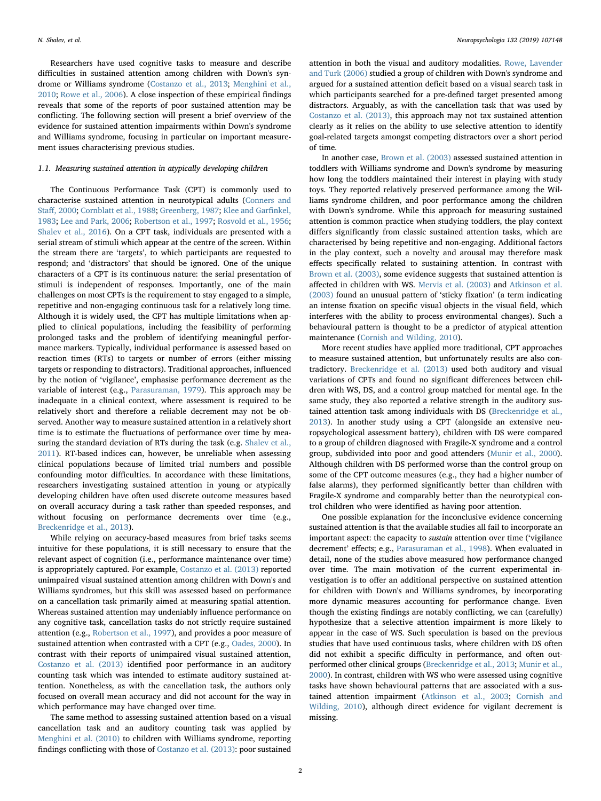Researchers have used cognitive tasks to measure and describe difficulties in sustained attention among children with Down's syndrome or Williams syndrome ([Costanzo et al., 2013;](#page-7-17) [Menghini et al.,](#page-7-18) [2010;](#page-7-18) [Rowe et al., 2006\)](#page-7-19). A close inspection of these empirical findings reveals that some of the reports of poor sustained attention may be conflicting. The following section will present a brief overview of the evidence for sustained attention impairments within Down's syndrome and Williams syndrome, focusing in particular on important measurement issues characterising previous studies.

## 1.1. Measuring sustained attention in atypically developing children

The Continuous Performance Task (CPT) is commonly used to characterise sustained attention in neurotypical adults [\(Conners and](#page-7-20) Staff[, 2000;](#page-7-20) [Cornblatt et al., 1988](#page-7-21); [Greenberg, 1987](#page-7-22); [Klee and Gar](#page-7-23)finkel, [1983;](#page-7-23) [Lee and Park, 2006;](#page-7-24) [Robertson et al., 1997](#page-7-9); [Rosvold et al., 1956](#page-7-25); [Shalev et al., 2016\)](#page-8-2). On a CPT task, individuals are presented with a serial stream of stimuli which appear at the centre of the screen. Within the stream there are 'targets', to which participants are requested to respond; and 'distractors' that should be ignored. One of the unique characters of a CPT is its continuous nature: the serial presentation of stimuli is independent of responses. Importantly, one of the main challenges on most CPTs is the requirement to stay engaged to a simple, repetitive and non-engaging continuous task for a relatively long time. Although it is widely used, the CPT has multiple limitations when applied to clinical populations, including the feasibility of performing prolonged tasks and the problem of identifying meaningful performance markers. Typically, individual performance is assessed based on reaction times (RTs) to targets or number of errors (either missing targets or responding to distractors). Traditional approaches, influenced by the notion of 'vigilance', emphasise performance decrement as the variable of interest (e.g., [Parasuraman, 1979\)](#page-7-26). This approach may be inadequate in a clinical context, where assessment is required to be relatively short and therefore a reliable decrement may not be observed. Another way to measure sustained attention in a relatively short time is to estimate the fluctuations of performance over time by measuring the standard deviation of RTs during the task (e.g. [Shalev et al.,](#page-8-3) [2011\)](#page-8-3). RT-based indices can, however, be unreliable when assessing clinical populations because of limited trial numbers and possible confounding motor difficulties. In accordance with these limitations, researchers investigating sustained attention in young or atypically developing children have often used discrete outcome measures based on overall accuracy during a task rather than speeded responses, and without focusing on performance decrements over time (e.g., [Breckenridge et al., 2013](#page-7-27)).

While relying on accuracy-based measures from brief tasks seems intuitive for these populations, it is still necessary to ensure that the relevant aspect of cognition (i.e., performance maintenance over time) is appropriately captured. For example, [Costanzo et al. \(2013\)](#page-7-17) reported unimpaired visual sustained attention among children with Down's and Williams syndromes, but this skill was assessed based on performance on a cancellation task primarily aimed at measuring spatial attention. Whereas sustained attention may undeniably influence performance on any cognitive task, cancellation tasks do not strictly require sustained attention (e.g., [Robertson et al., 1997\)](#page-7-9), and provides a poor measure of sustained attention when contrasted with a CPT (e.g., [Oades, 2000\)](#page-7-28). In contrast with their reports of unimpaired visual sustained attention, [Costanzo et al. \(2013\)](#page-7-17) identified poor performance in an auditory counting task which was intended to estimate auditory sustained attention. Nonetheless, as with the cancellation task, the authors only focused on overall mean accuracy and did not account for the way in which performance may have changed over time.

The same method to assessing sustained attention based on a visual cancellation task and an auditory counting task was applied by [Menghini et al. \(2010\)](#page-7-18) to children with Williams syndrome, reporting findings conflicting with those of [Costanzo et al. \(2013\):](#page-7-17) poor sustained attention in both the visual and auditory modalities. [Rowe, Lavender](#page-7-19) [and Turk \(2006\)](#page-7-19) studied a group of children with Down's syndrome and argued for a sustained attention deficit based on a visual search task in which participants searched for a pre-defined target presented among distractors. Arguably, as with the cancellation task that was used by [Costanzo et al. \(2013\),](#page-7-17) this approach may not tax sustained attention clearly as it relies on the ability to use selective attention to identify goal-related targets amongst competing distractors over a short period of time.

In another case, [Brown et al. \(2003\)](#page-7-29) assessed sustained attention in toddlers with Williams syndrome and Down's syndrome by measuring how long the toddlers maintained their interest in playing with study toys. They reported relatively preserved performance among the Williams syndrome children, and poor performance among the children with Down's syndrome. While this approach for measuring sustained attention is common practice when studying toddlers, the play context differs significantly from classic sustained attention tasks, which are characterised by being repetitive and non-engaging. Additional factors in the play context, such a novelty and arousal may therefore mask effects specifically related to sustaining attention. In contrast with [Brown et al. \(2003\),](#page-7-29) some evidence suggests that sustained attention is affected in children with WS. [Mervis et al. \(2003\)](#page-7-30) and [Atkinson et al.](#page-7-31) [\(2003\)](#page-7-31) found an unusual pattern of 'sticky fixation' (a term indicating an intense fixation on specific visual objects in the visual field, which interferes with the ability to process environmental changes). Such a behavioural pattern is thought to be a predictor of atypical attention maintenance [\(Cornish and Wilding, 2010](#page-7-32)).

More recent studies have applied more traditional, CPT approaches to measure sustained attention, but unfortunately results are also contradictory. [Breckenridge et al. \(2013\)](#page-7-27) used both auditory and visual variations of CPTs and found no significant differences between children with WS, DS, and a control group matched for mental age. In the same study, they also reported a relative strength in the auditory sustained attention task among individuals with DS ([Breckenridge et al.,](#page-7-27) [2013\)](#page-7-27). In another study using a CPT (alongside an extensive neuropsychological assessment battery), children with DS were compared to a group of children diagnosed with Fragile-X syndrome and a control group, subdivided into poor and good attenders [\(Munir et al., 2000](#page-7-33)). Although children with DS performed worse than the control group on some of the CPT outcome measures (e.g., they had a higher number of false alarms), they performed significantly better than children with Fragile-X syndrome and comparably better than the neurotypical control children who were identified as having poor attention.

One possible explanation for the inconclusive evidence concerning sustained attention is that the available studies all fail to incorporate an important aspect: the capacity to sustain attention over time ('vigilance decrement' effects; e.g., [Parasuraman et al., 1998\)](#page-7-34). When evaluated in detail, none of the studies above measured how performance changed over time. The main motivation of the current experimental investigation is to offer an additional perspective on sustained attention for children with Down's and Williams syndromes, by incorporating more dynamic measures accounting for performance change. Even though the existing findings are notably conflicting, we can (carefully) hypothesize that a selective attention impairment is more likely to appear in the case of WS. Such speculation is based on the previous studies that have used continuous tasks, where children with DS often did not exhibit a specific difficulty in performance, and often outperformed other clinical groups [\(Breckenridge et al., 2013](#page-7-27); [Munir et al.,](#page-7-33) [2000\)](#page-7-33). In contrast, children with WS who were assessed using cognitive tasks have shown behavioural patterns that are associated with a sustained attention impairment [\(Atkinson et al., 2003](#page-7-31); [Cornish and](#page-7-32) [Wilding, 2010](#page-7-32)), although direct evidence for vigilant decrement is missing.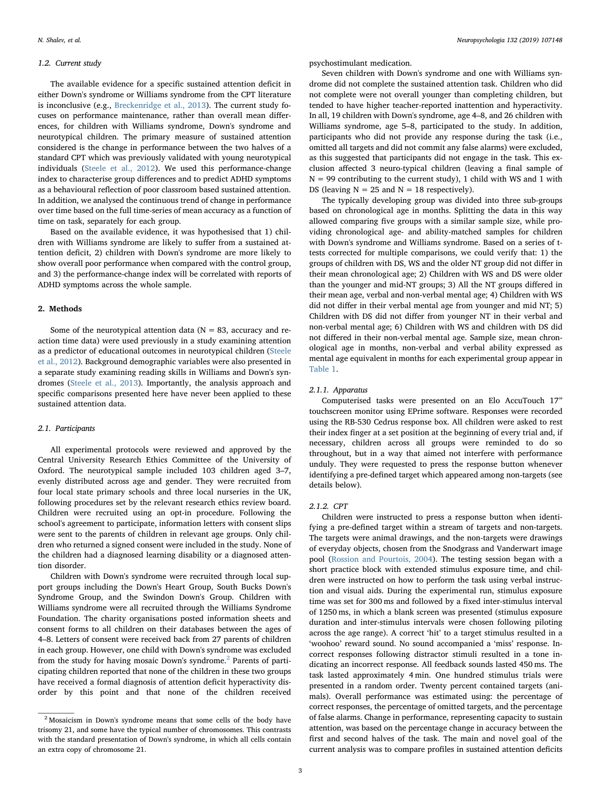## 1.2. Current study

The available evidence for a specific sustained attention deficit in either Down's syndrome or Williams syndrome from the CPT literature is inconclusive (e.g., [Breckenridge et al., 2013](#page-7-27)). The current study focuses on performance maintenance, rather than overall mean differences, for children with Williams syndrome, Down's syndrome and neurotypical children. The primary measure of sustained attention considered is the change in performance between the two halves of a standard CPT which was previously validated with young neurotypical individuals [\(Steele et al., 2012\)](#page-8-0). We used this performance-change index to characterise group differences and to predict ADHD symptoms as a behavioural reflection of poor classroom based sustained attention. In addition, we analysed the continuous trend of change in performance over time based on the full time-series of mean accuracy as a function of time on task, separately for each group.

Based on the available evidence, it was hypothesised that 1) children with Williams syndrome are likely to suffer from a sustained attention deficit, 2) children with Down's syndrome are more likely to show overall poor performance when compared with the control group, and 3) the performance-change index will be correlated with reports of ADHD symptoms across the whole sample.

## 2. Methods

Some of the neurotypical attention data ( $N = 83$ , accuracy and reaction time data) were used previously in a study examining attention as a predictor of educational outcomes in neurotypical children ([Steele](#page-8-0) [et al., 2012](#page-8-0)). Background demographic variables were also presented in a separate study examining reading skills in Williams and Down's syndromes ([Steele et al., 2013\)](#page-8-4). Importantly, the analysis approach and specific comparisons presented here have never been applied to these sustained attention data.

#### 2.1. Participants

All experimental protocols were reviewed and approved by the Central University Research Ethics Committee of the University of Oxford. The neurotypical sample included 103 children aged 3–7, evenly distributed across age and gender. They were recruited from four local state primary schools and three local nurseries in the UK, following procedures set by the relevant research ethics review board. Children were recruited using an opt-in procedure. Following the school's agreement to participate, information letters with consent slips were sent to the parents of children in relevant age groups. Only children who returned a signed consent were included in the study. None of the children had a diagnosed learning disability or a diagnosed attention disorder.

Children with Down's syndrome were recruited through local support groups including the Down's Heart Group, South Bucks Down's Syndrome Group, and the Swindon Down's Group. Children with Williams syndrome were all recruited through the Williams Syndrome Foundation. The charity organisations posted information sheets and consent forms to all children on their databases between the ages of 4–8. Letters of consent were received back from 27 parents of children in each group. However, one child with Down's syndrome was excluded from the study for having mosaic Down's syndrome. $<sup>2</sup>$  $<sup>2</sup>$  $<sup>2</sup>$  Parents of parti-</sup> cipating children reported that none of the children in these two groups have received a formal diagnosis of attention deficit hyperactivity disorder by this point and that none of the children received

psychostimulant medication.

Seven children with Down's syndrome and one with Williams syndrome did not complete the sustained attention task. Children who did not complete were not overall younger than completing children, but tended to have higher teacher-reported inattention and hyperactivity. In all, 19 children with Down's syndrome, age 4–8, and 26 children with Williams syndrome, age 5–8, participated to the study. In addition, participants who did not provide any response during the task (i.e., omitted all targets and did not commit any false alarms) were excluded, as this suggested that participants did not engage in the task. This exclusion affected 3 neuro-typical children (leaving a final sample of  $N = 99$  contributing to the current study), 1 child with WS and 1 with DS (leaving  $N = 25$  and  $N = 18$  respectively).

The typically developing group was divided into three sub-groups based on chronological age in months. Splitting the data in this way allowed comparing five groups with a similar sample size, while providing chronological age- and ability-matched samples for children with Down's syndrome and Williams syndrome. Based on a series of ttests corrected for multiple comparisons, we could verify that: 1) the groups of children with DS, WS and the older NT group did not differ in their mean chronological age; 2) Children with WS and DS were older than the younger and mid-NT groups; 3) All the NT groups differed in their mean age, verbal and non-verbal mental age; 4) Children with WS did not differ in their verbal mental age from younger and mid NT; 5) Children with DS did not differ from younger NT in their verbal and non-verbal mental age; 6) Children with WS and children with DS did not differed in their non-verbal mental age. Sample size, mean chronological age in months, non-verbal and verbal ability expressed as mental age equivalent in months for each experimental group appear in [Table 1](#page-3-0).

## 2.1.1. Apparatus

Computerised tasks were presented on an Elo AccuTouch 17" touchscreen monitor using EPrime software. Responses were recorded using the RB-530 Cedrus response box. All children were asked to rest their index finger at a set position at the beginning of every trial and, if necessary, children across all groups were reminded to do so throughout, but in a way that aimed not interfere with performance unduly. They were requested to press the response button whenever identifying a pre-defined target which appeared among non-targets (see details below).

### 2.1.2. CPT

Children were instructed to press a response button when identifying a pre-defined target within a stream of targets and non-targets. The targets were animal drawings, and the non-targets were drawings of everyday objects, chosen from the Snodgrass and Vanderwart image pool ([Rossion and Pourtois, 2004\)](#page-7-35). The testing session began with a short practice block with extended stimulus exposure time, and children were instructed on how to perform the task using verbal instruction and visual aids. During the experimental run, stimulus exposure time was set for 300 ms and followed by a fixed inter-stimulus interval of 1250 ms, in which a blank screen was presented (stimulus exposure duration and inter-stimulus intervals were chosen following piloting across the age range). A correct 'hit' to a target stimulus resulted in a 'woohoo' reward sound. No sound accompanied a 'miss' response. Incorrect responses following distractor stimuli resulted in a tone indicating an incorrect response. All feedback sounds lasted 450 ms. The task lasted approximately 4 min. One hundred stimulus trials were presented in a random order. Twenty percent contained targets (animals). Overall performance was estimated using: the percentage of correct responses, the percentage of omitted targets, and the percentage of false alarms. Change in performance, representing capacity to sustain attention, was based on the percentage change in accuracy between the first and second halves of the task. The main and novel goal of the current analysis was to compare profiles in sustained attention deficits

<span id="page-2-0"></span><sup>2</sup> Mosaicism in Down's syndrome means that some cells of the body have trisomy 21, and some have the typical number of chromosomes. This contrasts with the standard presentation of Down's syndrome, in which all cells contain an extra copy of chromosome 21.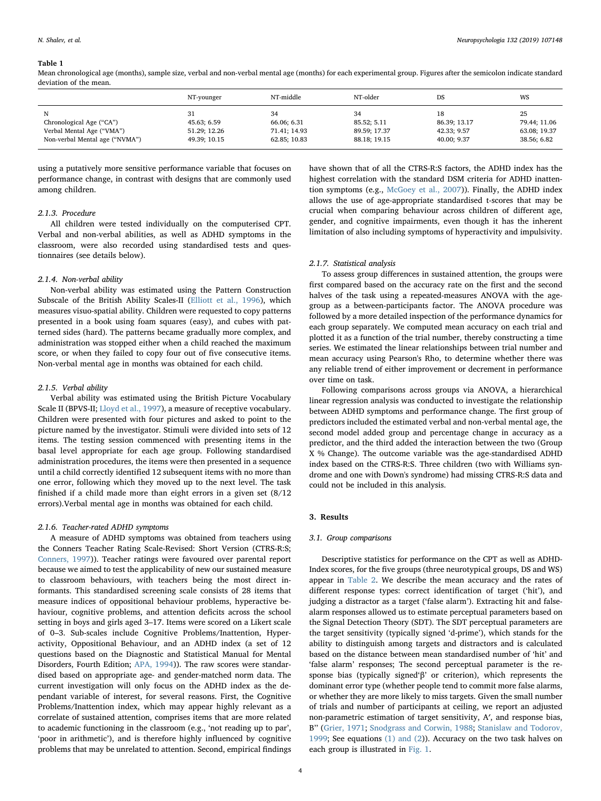#### <span id="page-3-0"></span>Table 1

Mean chronological age (months), sample size, verbal and non-verbal mental age (months) for each experimental group. Figures after the semicolon indicate standard deviation of the mean.

|                                                                                         | NT-younger                                        | NT-middle                                         | NT-older                                          | DS                                               | WS                                                |
|-----------------------------------------------------------------------------------------|---------------------------------------------------|---------------------------------------------------|---------------------------------------------------|--------------------------------------------------|---------------------------------------------------|
| Chronological Age ("CA")<br>Verbal Mental Age ("VMA")<br>Non-verbal Mental age ("NVMA") | 31<br>45.63; 6.59<br>51.29; 12.26<br>49.39; 10.15 | 34<br>66.06; 6.31<br>71.41; 14.93<br>62.85; 10.83 | 34<br>85.52; 5.11<br>89.59; 17.37<br>88.18; 19.15 | 18<br>86.39; 13.17<br>42.33: 9.57<br>40.00: 9.37 | 25<br>79.44; 11.06<br>63.08; 19.37<br>38.56; 6.82 |

using a putatively more sensitive performance variable that focuses on performance change, in contrast with designs that are commonly used among children.

## 2.1.3. Procedure

All children were tested individually on the computerised CPT. Verbal and non-verbal abilities, as well as ADHD symptoms in the classroom, were also recorded using standardised tests and questionnaires (see details below).

#### 2.1.4. Non-verbal ability

Non-verbal ability was estimated using the Pattern Construction Subscale of the British Ability Scales-II [\(Elliott et al., 1996\)](#page-7-36), which measures visuo-spatial ability. Children were requested to copy patterns presented in a book using foam squares (easy), and cubes with patterned sides (hard). The patterns became gradually more complex, and administration was stopped either when a child reached the maximum score, or when they failed to copy four out of five consecutive items. Non-verbal mental age in months was obtained for each child.

## 2.1.5. Verbal ability

Verbal ability was estimated using the British Picture Vocabulary Scale II (BPVS-II; [Lloyd et al., 1997\)](#page-7-37), a measure of receptive vocabulary. Children were presented with four pictures and asked to point to the picture named by the investigator. Stimuli were divided into sets of 12 items. The testing session commenced with presenting items in the basal level appropriate for each age group. Following standardised administration procedures, the items were then presented in a sequence until a child correctly identified 12 subsequent items with no more than one error, following which they moved up to the next level. The task finished if a child made more than eight errors in a given set (8/12 errors).Verbal mental age in months was obtained for each child.

#### 2.1.6. Teacher-rated ADHD symptoms

A measure of ADHD symptoms was obtained from teachers using the Conners Teacher Rating Scale-Revised: Short Version (CTRS-R:S; [Conners, 1997\)](#page-7-38)). Teacher ratings were favoured over parental report because we aimed to test the applicability of new our sustained measure to classroom behaviours, with teachers being the most direct informants. This standardised screening scale consists of 28 items that measure indices of oppositional behaviour problems, hyperactive behaviour, cognitive problems, and attention deficits across the school setting in boys and girls aged 3–17. Items were scored on a Likert scale of 0–3. Sub-scales include Cognitive Problems/Inattention, Hyperactivity, Oppositional Behaviour, and an ADHD index (a set of 12 questions based on the Diagnostic and Statistical Manual for Mental Disorders, Fourth Edition; [APA, 1994\)](#page-7-39)). The raw scores were standardised based on appropriate age- and gender-matched norm data. The current investigation will only focus on the ADHD index as the dependant variable of interest, for several reasons. First, the Cognitive Problems/Inattention index, which may appear highly relevant as a correlate of sustained attention, comprises items that are more related to academic functioning in the classroom (e.g., 'not reading up to par', 'poor in arithmetic'), and is therefore highly influenced by cognitive problems that may be unrelated to attention. Second, empirical findings have shown that of all the CTRS-R:S factors, the ADHD index has the highest correlation with the standard DSM criteria for ADHD inattention symptoms (e.g., [McGoey et al., 2007](#page-7-40))). Finally, the ADHD index allows the use of age-appropriate standardised t-scores that may be crucial when comparing behaviour across children of different age, gender, and cognitive impairments, even though it has the inherent limitation of also including symptoms of hyperactivity and impulsivity.

#### 2.1.7. Statistical analysis

To assess group differences in sustained attention, the groups were first compared based on the accuracy rate on the first and the second halves of the task using a repeated-measures ANOVA with the agegroup as a between-participants factor. The ANOVA procedure was followed by a more detailed inspection of the performance dynamics for each group separately. We computed mean accuracy on each trial and plotted it as a function of the trial number, thereby constructing a time series. We estimated the linear relationships between trial number and mean accuracy using Pearson's Rho, to determine whether there was any reliable trend of either improvement or decrement in performance over time on task.

Following comparisons across groups via ANOVA, a hierarchical linear regression analysis was conducted to investigate the relationship between ADHD symptoms and performance change. The first group of predictors included the estimated verbal and non-verbal mental age, the second model added group and percentage change in accuracy as a predictor, and the third added the interaction between the two (Group X % Change). The outcome variable was the age-standardised ADHD index based on the CTRS-R:S. Three children (two with Williams syndrome and one with Down's syndrome) had missing CTRS-R:S data and could not be included in this analysis.

#### 3. Results

#### 3.1. Group comparisons

<span id="page-3-1"></span>Descriptive statistics for performance on the CPT as well as ADHD-Index scores, for the five groups (three neurotypical groups, DS and WS) appear in [Table 2.](#page-4-0) We describe the mean accuracy and the rates of different response types: correct identification of target ('hit'), and judging a distractor as a target ('false alarm'). Extracting hit and falsealarm responses allowed us to estimate perceptual parameters based on the Signal Detection Theory (SDT). The SDT perceptual parameters are the target sensitivity (typically signed 'd-prime'), which stands for the ability to distinguish among targets and distractors and is calculated based on the distance between mean standardised number of 'hit' and 'false alarm' responses; The second perceptual parameter is the response bias (typically signed'β' or criterion), which represents the dominant error type (whether people tend to commit more false alarms, or whether they are more likely to miss targets. Given the small number of trials and number of participants at ceiling, we report an adjusted non-parametric estimation of target sensitivity, A′, and response bias, B'' ([Grier, 1971;](#page-7-41) [Snodgrass and Corwin, 1988;](#page-8-5) [Stanislaw and Todorov,](#page-8-6) [1999;](#page-8-6) See equations [\(1\) and \(2](#page-3-1))). Accuracy on the two task halves on each group is illustrated in [Fig. 1](#page-4-1).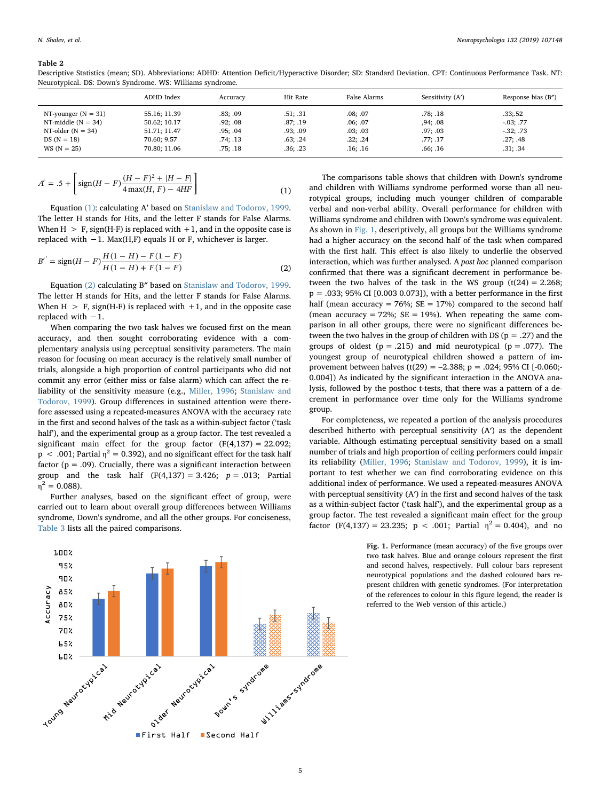#### <span id="page-4-0"></span>Table 2

Descriptive Statistics (mean; SD). Abbreviations: ADHD: Attention Deficit/Hyperactive Disorder; SD: Standard Deviation. CPT: Continuous Performance Task. NT: Neurotypical. DS: Down's Syndrome. WS: Williams syndrome.

|                       | ADHD Index   | Accuracy | Hit Rate | False Alarms | Sensitivity (A') | Response bias (B") |
|-----------------------|--------------|----------|----------|--------------|------------------|--------------------|
| NT-younger $(N = 31)$ | 55.16: 11.39 | .83: .09 | .51: .31 | .08: .07     | .78: .18         | .33:52             |
| NT-middle $(N = 34)$  | 50.62: 10.17 | .92: .08 | .87: .19 | .06: .07     | .94: .08         | $-03; .77$         |
| NT-older $(N = 34)$   | 51.71: 11.47 | .95: .04 | .93; .09 | .03: .03     | .97: .03         | $-32; .73$         |
| $DS (N = 18)$         | 70.60: 9.57  | .74: .13 | .63; .24 | .22: .24     | .77: .17         | .27: .48           |
| $WS (N = 25)$         | 70.80: 11.06 | .75: .18 | .36; .23 | .16; .16     | .66; .16         | .31: .34           |

$$
A' = .5 + \left[ sign(H - F) \frac{(H - F)^{2} + |H - F|}{4 \max(H, F) - 4HF} \right]
$$
\n(1)

Equation [\(1\)](#page-3-1): calculating A' based on [Stanislaw and Todorov, 1999](#page-8-6). The letter H stands for Hits, and the letter F stands for False Alarms. When  $H > F$ , sign(H-F) is replaced with  $+1$ , and in the opposite case is replaced with  $-1$ . Max(H,F) equals H or F, whichever is larger.

<span id="page-4-2"></span>
$$
B' = sign(H - F)\frac{H(1 - H) - F(1 - F)}{H(1 - H) + F(1 - F)}
$$
\n(2)

Equation [\(2\)](#page-4-2) calculating B″ based on [Stanislaw and Todorov, 1999](#page-8-6). The letter H stands for Hits, and the letter F stands for False Alarms. When  $H > F$ , sign(H-F) is replaced with  $+1$ , and in the opposite case replaced with  $-1$ .

When comparing the two task halves we focused first on the mean accuracy, and then sought corroborating evidence with a complementary analysis using perceptual sensitivity parameters. The main reason for focusing on mean accuracy is the relatively small number of trials, alongside a high proportion of control participants who did not commit any error (either miss or false alarm) which can affect the reliability of the sensitivity measure (e.g., [Miller, 1996;](#page-7-42) [Stanislaw and](#page-8-6) [Todorov, 1999\)](#page-8-6). Group differences in sustained attention were therefore assessed using a repeated-measures ANOVA with the accuracy rate in the first and second halves of the task as a within-subject factor ('task half'), and the experimental group as a group factor. The test revealed a significant main effect for the group factor  $(F(4,137) = 22.092;$  $p < .001$ ; Partial  $\eta^2 = 0.392$ ), and no significant effect for the task half factor ( $p = .09$ ). Crucially, there was a significant interaction between group and the task half  $(F(4,137) = 3.426; p = .013; Partial$  $n^2 = 0.088$ ).

Further analyses, based on the significant effect of group, were carried out to learn about overall group differences between Williams syndrome, Down's syndrome, and all the other groups. For conciseness, [Table 3](#page-5-0) lists all the paired comparisons.

The comparisons table shows that children with Down's syndrome and children with Williams syndrome performed worse than all neurotypical groups, including much younger children of comparable verbal and non-verbal ability. Overall performance for children with Williams syndrome and children with Down's syndrome was equivalent. As shown in [Fig. 1,](#page-4-1) descriptively, all groups but the Williams syndrome had a higher accuracy on the second half of the task when compared with the first half. This effect is also likely to underlie the observed interaction, which was further analysed. A post hoc planned comparison confirmed that there was a significant decrement in performance between the two halves of the task in the WS group  $(t(24) = 2.268)$ ; p = .033; 95% CI [0.003 0.073]), with a better performance in the first half (mean accuracy = 76%;  $SE = 17%$ ) compared to the second half (mean accuracy = 72%;  $SE = 19%$ ). When repeating the same comparison in all other groups, there were no significant differences between the two halves in the group of children with DS ( $p = .27$ ) and the groups of oldest  $(p = .215)$  and mid neurotypical  $(p = .077)$ . The youngest group of neurotypical children showed a pattern of improvement between halves (t(29) = -2.388; p = .024; 95% CI [-0.060;-0.004]) As indicated by the significant interaction in the ANOVA analysis, followed by the posthoc t-tests, that there was a pattern of a decrement in performance over time only for the Williams syndrome group.

For completeness, we repeated a portion of the analysis procedures described hitherto with perceptual sensitivity (A′) as the dependent variable. Although estimating perceptual sensitivity based on a small number of trials and high proportion of ceiling performers could impair its reliability ([Miller, 1996;](#page-7-42) [Stanislaw and Todorov, 1999\)](#page-8-6), it is important to test whether we can find corroborating evidence on this additional index of performance. We used a repeated-measures ANOVA with perceptual sensitivity (A') in the first and second halves of the task as a within-subject factor ('task half'), and the experimental group as a group factor. The test revealed a significant main effect for the group factor (F(4,137) = 23.235;  $p < .001$ ; Partial  $\eta^2 = 0.404$ ), and no

> Fig. 1. Performance (mean accuracy) of the five groups over two task halves. Blue and orange colours represent the first and second halves, respectively. Full colour bars represent neurotypical populations and the dashed coloured bars represent children with genetic syndromes. (For interpretation of the references to colour in this figure legend, the reader is referred to the Web version of this article.)

<span id="page-4-1"></span>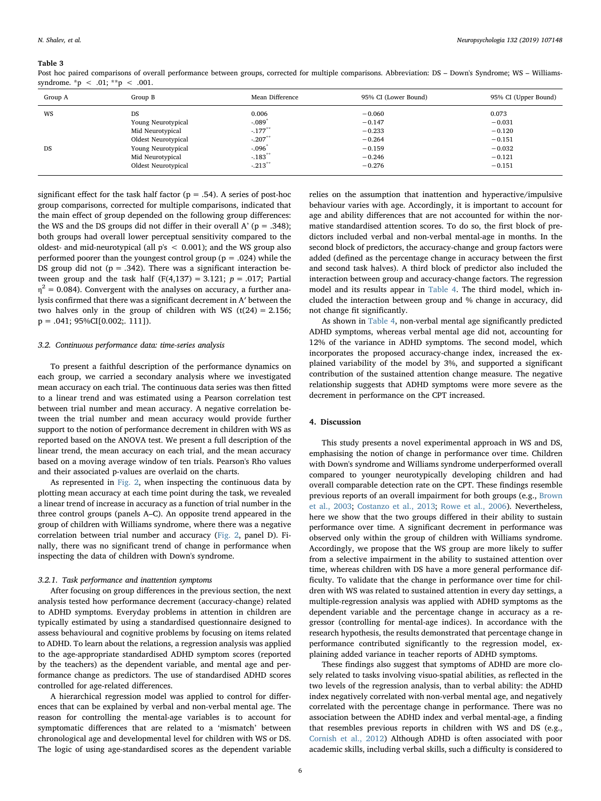#### <span id="page-5-0"></span>Table 3

| Group A | Group B             | Mean Difference       | 95% CI (Lower Bound) | 95% CI (Upper Bound) |
|---------|---------------------|-----------------------|----------------------|----------------------|
| WS      | DS                  | 0.006                 | $-0.060$             | 0.073                |
|         | Young Neurotypical  | $-.089$ <sup>*</sup>  | $-0.147$             | $-0.031$             |
|         | Mid Neurotypical    | $-.177***$            | $-0.233$             | $-0.120$             |
|         | Oldest Neurotypical | $-.207$ **            | $-0.264$             | $-0.151$             |
| DS      | Young Neurotypical  | $-0.096$              | $-0.159$             | $-0.032$             |
|         | Mid Neurotypical    | $-183$ <sup>**</sup>  | $-0.246$             | $-0.121$             |
|         | Oldest Neurotypical | $-.213$ <sup>**</sup> | $-0.276$             | $-0.151$             |

Post hoc paired comparisons of overall performance between groups, corrected for multiple comparisons. Abbreviation: DS – Down's Syndrome; WS – Williamssyndrome. \*p < .01; \*\*p < .001.

significant effect for the task half factor ( $p = .54$ ). A series of post-hoc group comparisons, corrected for multiple comparisons, indicated that the main effect of group depended on the following group differences: the WS and the DS groups did not differ in their overall A' ( $p = .348$ ); both groups had overall lower perceptual sensitivity compared to the oldest- and mid-neurotypical (all p's < 0.001); and the WS group also performed poorer than the youngest control group ( $p = .024$ ) while the DS group did not ( $p = .342$ ). There was a significant interaction between group and the task half  $(F(4,137) = 3.121; p = .017;$  Partial  $\eta^2$  = 0.084). Convergent with the analyses on accuracy, a further analysis confirmed that there was a significant decrement in A′ between the two halves only in the group of children with WS  $(t(24) = 2.156;$  $p = .041; 95\% CI[0.002; 111].$ 

## 3.2. Continuous performance data: time-series analysis

To present a faithful description of the performance dynamics on each group, we carried a secondary analysis where we investigated mean accuracy on each trial. The continuous data series was then fitted to a linear trend and was estimated using a Pearson correlation test between trial number and mean accuracy. A negative correlation between the trial number and mean accuracy would provide further support to the notion of performance decrement in children with WS as reported based on the ANOVA test. We present a full description of the linear trend, the mean accuracy on each trial, and the mean accuracy based on a moving average window of ten trials. Pearson's Rho values and their associated p-values are overlaid on the charts.

As represented in [Fig. 2,](#page-6-0) when inspecting the continuous data by plotting mean accuracy at each time point during the task, we revealed a linear trend of increase in accuracy as a function of trial number in the three control groups (panels A–C). An opposite trend appeared in the group of children with Williams syndrome, where there was a negative correlation between trial number and accuracy ([Fig. 2,](#page-6-0) panel D). Finally, there was no significant trend of change in performance when inspecting the data of children with Down's syndrome.

## 3.2.1. Task performance and inattention symptoms

After focusing on group differences in the previous section, the next analysis tested how performance decrement (accuracy-change) related to ADHD symptoms. Everyday problems in attention in children are typically estimated by using a standardised questionnaire designed to assess behavioural and cognitive problems by focusing on items related to ADHD. To learn about the relations, a regression analysis was applied to the age-appropriate standardised ADHD symptom scores (reported by the teachers) as the dependent variable, and mental age and performance change as predictors. The use of standardised ADHD scores controlled for age-related differences.

A hierarchical regression model was applied to control for differences that can be explained by verbal and non-verbal mental age. The reason for controlling the mental-age variables is to account for symptomatic differences that are related to a 'mismatch' between chronological age and developmental level for children with WS or DS. The logic of using age-standardised scores as the dependent variable relies on the assumption that inattention and hyperactive/impulsive behaviour varies with age. Accordingly, it is important to account for age and ability differences that are not accounted for within the normative standardised attention scores. To do so, the first block of predictors included verbal and non-verbal mental-age in months. In the second block of predictors, the accuracy-change and group factors were added (defined as the percentage change in accuracy between the first and second task halves). A third block of predictor also included the interaction between group and accuracy-change factors. The regression model and its results appear in [Table 4](#page-6-1). The third model, which included the interaction between group and % change in accuracy, did not change fit significantly.

As shown in [Table 4,](#page-6-1) non-verbal mental age significantly predicted ADHD symptoms, whereas verbal mental age did not, accounting for 12% of the variance in ADHD symptoms. The second model, which incorporates the proposed accuracy-change index, increased the explained variability of the model by 3%, and supported a significant contribution of the sustained attention change measure. The negative relationship suggests that ADHD symptoms were more severe as the decrement in performance on the CPT increased.

## 4. Discussion

This study presents a novel experimental approach in WS and DS, emphasising the notion of change in performance over time. Children with Down's syndrome and Williams syndrome underperformed overall compared to younger neurotypically developing children and had overall comparable detection rate on the CPT. These findings resemble previous reports of an overall impairment for both groups (e.g., [Brown](#page-7-29) [et al., 2003;](#page-7-29) [Costanzo et al., 2013](#page-7-17); [Rowe et al., 2006](#page-7-19)). Nevertheless, here we show that the two groups differed in their ability to sustain performance over time. A significant decrement in performance was observed only within the group of children with Williams syndrome. Accordingly, we propose that the WS group are more likely to suffer from a selective impairment in the ability to sustained attention over time, whereas children with DS have a more general performance difficulty. To validate that the change in performance over time for children with WS was related to sustained attention in every day settings, a multiple-regression analysis was applied with ADHD symptoms as the dependent variable and the percentage change in accuracy as a regressor (controlling for mental-age indices). In accordance with the research hypothesis, the results demonstrated that percentage change in performance contributed significantly to the regression model, explaining added variance in teacher reports of ADHD symptoms.

These findings also suggest that symptoms of ADHD are more closely related to tasks involving visuo-spatial abilities, as reflected in the two levels of the regression analysis, than to verbal ability: the ADHD index negatively correlated with non-verbal mental age, and negatively correlated with the percentage change in performance. There was no association between the ADHD index and verbal mental-age, a finding that resembles previous reports in children with WS and DS (e.g., [Cornish et al., 2012\)](#page-7-43) Although ADHD is often associated with poor academic skills, including verbal skills, such a difficulty is considered to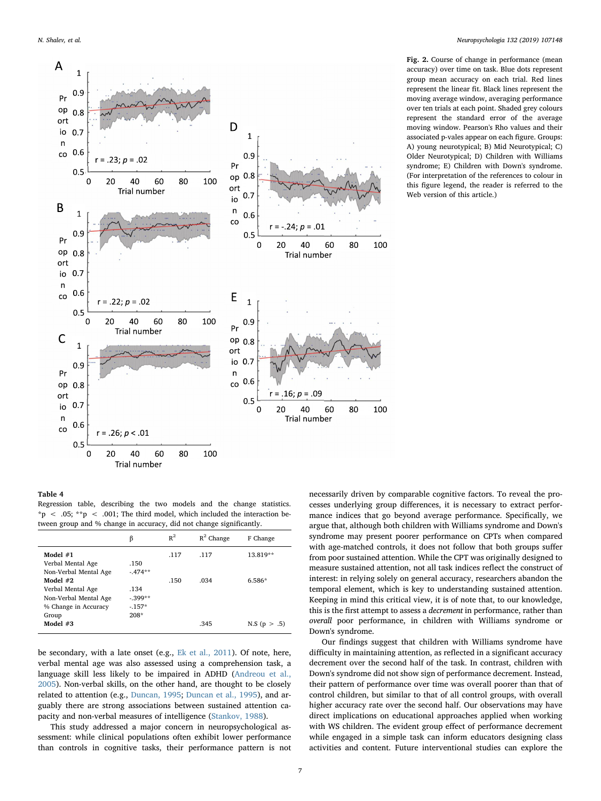<span id="page-6-0"></span>

Fig. 2. Course of change in performance (mean accuracy) over time on task. Blue dots represent group mean accuracy on each trial. Red lines represent the linear fit. Black lines represent the moving average window, averaging performance over ten trials at each point. Shaded grey colours represent the standard error of the average moving window. Pearson's Rho values and their associated p-vales appear on each figure. Groups: A) young neurotypical; B) Mid Neurotypical; C) Older Neurotypical; D) Children with Williams syndrome; E) Children with Down's syndrome. (For interpretation of the references to colour in this figure legend, the reader is referred to the Web version of this article.)

## <span id="page-6-1"></span>Table 4

Regression table, describing the two models and the change statistics.  $*p < .05; **p < .001$ ; The third model, which included the interaction between group and % change in accuracy, did not change significantly.

|                       | β         | $R^2$ | $R^2$ Change | F Change    |
|-----------------------|-----------|-------|--------------|-------------|
| Model #1              |           | .117  | .117         | 13.819**    |
| Verbal Mental Age     | .150      |       |              |             |
| Non-Verbal Mental Age | $-474**$  |       |              |             |
| Model $#2$            |           | .150  | .034         | $6.586*$    |
| Verbal Mental Age     | .134      |       |              |             |
| Non-Verbal Mental Age | $-.399**$ |       |              |             |
| % Change in Accuracy  | $-157*$   |       |              |             |
| Group                 | $208*$    |       |              |             |
| Model $#3$            |           |       | .345         | N.S(p > .5) |

be secondary, with a late onset (e.g., [Ek et al., 2011\)](#page-7-44). Of note, here, verbal mental age was also assessed using a comprehension task, a language skill less likely to be impaired in ADHD ([Andreou et al.,](#page-7-45) [2005\)](#page-7-45). Non-verbal skills, on the other hand, are thought to be closely related to attention (e.g., [Duncan, 1995;](#page-7-46) [Duncan et al., 1995](#page-7-47)), and arguably there are strong associations between sustained attention capacity and non-verbal measures of intelligence ([Stankov, 1988\)](#page-8-7).

This study addressed a major concern in neuropsychological assessment: while clinical populations often exhibit lower performance than controls in cognitive tasks, their performance pattern is not necessarily driven by comparable cognitive factors. To reveal the processes underlying group differences, it is necessary to extract performance indices that go beyond average performance. Specifically, we argue that, although both children with Williams syndrome and Down's syndrome may present poorer performance on CPTs when compared with age-matched controls, it does not follow that both groups suffer from poor sustained attention. While the CPT was originally designed to measure sustained attention, not all task indices reflect the construct of interest: in relying solely on general accuracy, researchers abandon the temporal element, which is key to understanding sustained attention. Keeping in mind this critical view, it is of note that, to our knowledge, this is the first attempt to assess a decrement in performance, rather than overall poor performance, in children with Williams syndrome or Down's syndrome.

Our findings suggest that children with Williams syndrome have difficulty in maintaining attention, as reflected in a significant accuracy decrement over the second half of the task. In contrast, children with Down's syndrome did not show sign of performance decrement. Instead, their pattern of performance over time was overall poorer than that of control children, but similar to that of all control groups, with overall higher accuracy rate over the second half. Our observations may have direct implications on educational approaches applied when working with WS children. The evident group effect of performance decrement while engaged in a simple task can inform educators designing class activities and content. Future interventional studies can explore the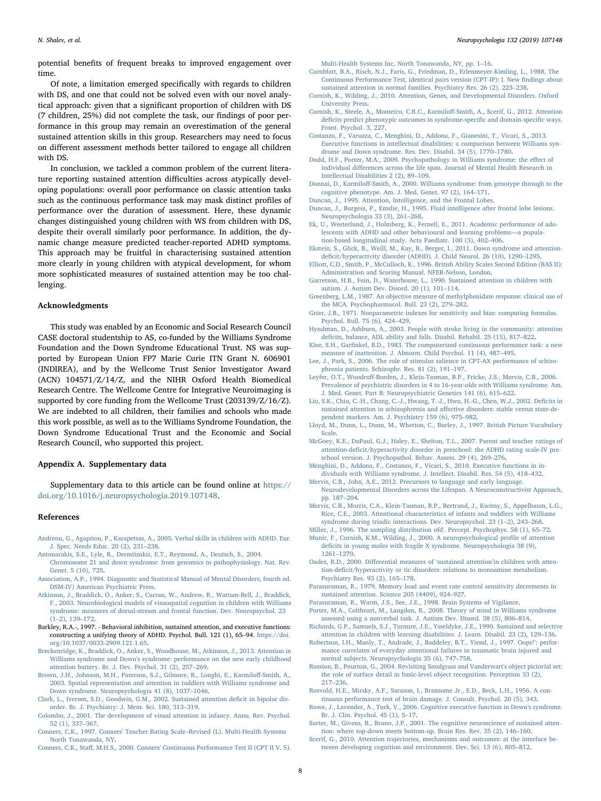potential benefits of frequent breaks to improved engagement over time.

Of note, a limitation emerged specifically with regards to children with DS, and one that could not be solved even with our novel analytical approach: given that a significant proportion of children with DS (7 children, 25%) did not complete the task, our findings of poor performance in this group may remain an overestimation of the general sustained attention skills in this group. Researchers may need to focus on different assessment methods better tailored to engage all children with DS.

In conclusion, we tackled a common problem of the current literature reporting sustained attention difficulties across atypically developing populations: overall poor performance on classic attention tasks such as the continuous performance task may mask distinct profiles of performance over the duration of assessment. Here, these dynamic changes distinguished young children with WS from children with DS, despite their overall similarly poor performance. In addition, the dynamic change measure predicted teacher-reported ADHD symptoms. This approach may be fruitful in characterising sustained attention more clearly in young children with atypical development, for whom more sophisticated measures of sustained attention may be too challenging.

## Acknowledgments

This study was enabled by an Economic and Social Research Council CASE doctoral studentship to AS, co-funded by the Williams Syndrome Foundation and the Down Syndrome Educational Trust. NS was supported by European Union FP7 Marie Curie ITN Grant N. 606901 (INDIREA), and by the Wellcome Trust Senior Investigator Award (ACN) 104571/Z/14/Z, and the NIHR Oxford Health Biomedical Research Centre. The Wellcome Centre for Integrative Neuroimaging is supported by core funding from the Wellcome Trust (203139/Z/16/Z). We are indebted to all children, their families and schools who made this work possible, as well as to the Williams Syndrome Foundation, the Down Syndrome Educational Trust and the Economic and Social Research Council, who supported this project.

## Appendix A. Supplementary data

Supplementary data to this article can be found online at [https://](https://doi.org/10.1016/j.neuropsychologia.2019.107148) [doi.org/10.1016/j.neuropsychologia.2019.107148.](https://doi.org/10.1016/j.neuropsychologia.2019.107148)

#### References

- <span id="page-7-45"></span>[Andreou, G., Agapitou, P., Karapetsas, A., 2005. Verbal skills in children with ADHD. Eur.](http://refhub.elsevier.com/S0028-3932(18)30583-9/sref1) [J. Spec. Needs Educ. 20 \(2\), 231](http://refhub.elsevier.com/S0028-3932(18)30583-9/sref1)–238.
- <span id="page-7-11"></span>[Antonarakis, S.E., Lyle, R., Dermitzakis, E.T., Reymond, A., Deutsch, S., 2004.](http://refhub.elsevier.com/S0028-3932(18)30583-9/sref2)
- [Chromosome 21 and down syndrome: from genomics to pathophysiology. Nat. Rev.](http://refhub.elsevier.com/S0028-3932(18)30583-9/sref2) [Genet. 5 \(10\), 725](http://refhub.elsevier.com/S0028-3932(18)30583-9/sref2). [Association, A.P., 1994. Diagnostic and Statistical Manual of Mental Disorders, fourth ed.](http://refhub.elsevier.com/S0028-3932(18)30583-9/sref3)
- <span id="page-7-39"></span>[DSM-IV\) American Psychiatric Press.](http://refhub.elsevier.com/S0028-3932(18)30583-9/sref3)
- <span id="page-7-31"></span>[Atkinson, J., Braddick, O., Anker, S., Curran, W., Andrew, R., Wattam-Bell, J., Braddick,](http://refhub.elsevier.com/S0028-3932(18)30583-9/sref4) [F., 2003. Neurobiological models of visuospatial cognition in children with Williams](http://refhub.elsevier.com/S0028-3932(18)30583-9/sref4) [syndrome: measures of dorsal-stream and frontal function. Dev. Neuropsychol. 23](http://refhub.elsevier.com/S0028-3932(18)30583-9/sref4) (1–[2\), 139](http://refhub.elsevier.com/S0028-3932(18)30583-9/sref4)–172.
- <span id="page-7-3"></span>Barkley, R.A.-, 1997. - Behavioral inhibition, sustained attention, and executive functions: constructing a unifying theory of ADHD. Psychol. Bull. 121 (1), 65–94. [https://doi.](https://doi.org/10.1037/0033-2909.121.1.65) [org/10.1037/0033-2909.121.1.65](https://doi.org/10.1037/0033-2909.121.1.65).
- <span id="page-7-27"></span>[Breckenridge, K., Braddick, O., Anker, S., Woodhouse, M., Atkinson, J., 2013. Attention in](http://refhub.elsevier.com/S0028-3932(18)30583-9/sref6) [Williams syndrome and Down's syndrome: performance on the new early childhood](http://refhub.elsevier.com/S0028-3932(18)30583-9/sref6) [attention battery. Br. J. Dev. Psychol. 31 \(2\), 257](http://refhub.elsevier.com/S0028-3932(18)30583-9/sref6)–269.
- <span id="page-7-29"></span>[Brown, J.H., Johnson, M.H., Paterson, S.J., Gilmore, R., Longhi, E., Karmilo](http://refhub.elsevier.com/S0028-3932(18)30583-9/sref7)ff-Smith, A., [2003. Spatial representation and attention in toddlers with Williams syndrome and](http://refhub.elsevier.com/S0028-3932(18)30583-9/sref7) [Down syndrome. Neuropsychologia 41 \(8\), 1037](http://refhub.elsevier.com/S0028-3932(18)30583-9/sref7)–1046.
- <span id="page-7-7"></span>[Clark, L., Iversen, S.D., Goodwin, G.M., 2002. Sustained attention de](http://refhub.elsevier.com/S0028-3932(18)30583-9/sref8)ficit in bipolar dis[order. Br. J. Psychiatry: J. Ment. Sci. 180, 313](http://refhub.elsevier.com/S0028-3932(18)30583-9/sref8)–319.
- <span id="page-7-1"></span>[Colombo, J., 2001. The development of visual attention in infancy. Annu. Rev. Psychol.](http://refhub.elsevier.com/S0028-3932(18)30583-9/sref9) [52 \(1\), 337](http://refhub.elsevier.com/S0028-3932(18)30583-9/sref9)–367. [Conners, C.K., 1997. Conners' Teacher Rating Scale](http://refhub.elsevier.com/S0028-3932(18)30583-9/sref10)–Revised (L). Multi-Health Systems

<span id="page-7-38"></span><span id="page-7-20"></span>[North Tonawanda, NY](http://refhub.elsevier.com/S0028-3932(18)30583-9/sref10). Conners, C.K., Staff[, M.H.S., 2000. Conners' Continuous Performance Test II \(CPT II V. 5\).](http://refhub.elsevier.com/S0028-3932(18)30583-9/sref11) [Multi-Health Systems Inc, North Tonawanda, NY, pp. 1](http://refhub.elsevier.com/S0028-3932(18)30583-9/sref11)–16.

- <span id="page-7-21"></span>[Cornblatt, B.A., Risch, N.J., Faris, G., Friedman, D., Erlenmeyer-Kimling, L., 1988. The](http://refhub.elsevier.com/S0028-3932(18)30583-9/sref12) [Continuous Performance Test, identical pairs version \(CPT-IP\): I. New](http://refhub.elsevier.com/S0028-3932(18)30583-9/sref12) findings about [sustained attention in normal families. Psychiatry Res. 26 \(2\), 223](http://refhub.elsevier.com/S0028-3932(18)30583-9/sref12)–238.
- <span id="page-7-32"></span>[Cornish, K., Wilding, J., 2010. Attention, Genes, and Developmental Disorders. Oxford](http://refhub.elsevier.com/S0028-3932(18)30583-9/sref13) [University Press](http://refhub.elsevier.com/S0028-3932(18)30583-9/sref13).
- <span id="page-7-43"></span>[Cornish, K., Steele, A., Monteiro, C.R.C., Karmilo](http://refhub.elsevier.com/S0028-3932(18)30583-9/sref14)ff-Smith, A., Scerif, G., 2012. Attention defi[cits predict phenotypic outcomes in syndrome-speci](http://refhub.elsevier.com/S0028-3932(18)30583-9/sref14)fic and domain-specific ways. [Front. Psychol. 3, 227](http://refhub.elsevier.com/S0028-3932(18)30583-9/sref14).
- <span id="page-7-17"></span>[Costanzo, F., Varuzza, C., Menghini, D., Addona, F., Gianesini, T., Vicari, S., 2013.](http://refhub.elsevier.com/S0028-3932(18)30583-9/sref15) [Executive functions in intellectual disabilities: a comparison between Williams syn](http://refhub.elsevier.com/S0028-3932(18)30583-9/sref15)[drome and Down syndrome. Res. Dev. Disabil. 34 \(5\), 1770](http://refhub.elsevier.com/S0028-3932(18)30583-9/sref15)–1780.
- <span id="page-7-13"></span>[Dodd, H.F., Porter, M.A., 2009. Psychopathology in Williams syndrome: the e](http://refhub.elsevier.com/S0028-3932(18)30583-9/sref16)ffect of individual diff[erences across the life span. Journal of Mental Health Research in](http://refhub.elsevier.com/S0028-3932(18)30583-9/sref16) [Intellectual Disabilities 2 \(2\), 89](http://refhub.elsevier.com/S0028-3932(18)30583-9/sref16)–109.
- <span id="page-7-10"></span>Donnai, D., Karmiloff[-Smith, A., 2000. Williams syndrome: from genotype through to the](http://refhub.elsevier.com/S0028-3932(18)30583-9/sref17) [cognitive phenotype. Am. J. Med. Genet. 97 \(2\), 164](http://refhub.elsevier.com/S0028-3932(18)30583-9/sref17)–171.
- <span id="page-7-46"></span>[Duncan, J., 1995. Attention, Intelligence, and the Frontal Lobes.](http://refhub.elsevier.com/S0028-3932(18)30583-9/sref18)
- <span id="page-7-47"></span>[Duncan, J., Burgess, P., Emslie, H., 1995. Fluid intelligence after frontal lobe lesions.](http://refhub.elsevier.com/S0028-3932(18)30583-9/sref19) [Neuropsychologia 33 \(3\), 261](http://refhub.elsevier.com/S0028-3932(18)30583-9/sref19)–268.
- <span id="page-7-44"></span>[Ek, U., Westerlund, J., Holmberg, K., Fernell, E., 2011. Academic performance of ado](http://refhub.elsevier.com/S0028-3932(18)30583-9/sref20)[lescents with ADHD and other behavioural and learning problems](http://refhub.elsevier.com/S0028-3932(18)30583-9/sref20)—a population‐[based longitudinal study. Acta Paediatr. 100 \(3\), 402](http://refhub.elsevier.com/S0028-3932(18)30583-9/sref20)–406.
- <span id="page-7-15"></span>[Ekstein, S., Glick, B., Weill, M., Kay, B., Berger, I., 2011. Down syndrome and attention](http://refhub.elsevier.com/S0028-3932(18)30583-9/sref21)defi[cit/hyperactivity disorder \(ADHD\). J. Child Neurol. 26 \(10\), 1290](http://refhub.elsevier.com/S0028-3932(18)30583-9/sref21)–1295.
- <span id="page-7-36"></span>[Elliott, C.D., Smith, P., McCulloch, K., 1996. British Ability Scales Second Edition \(BAS II\):](http://refhub.elsevier.com/S0028-3932(18)30583-9/sref22) [Administration and Scoring Manual. NFER-Nelson, London](http://refhub.elsevier.com/S0028-3932(18)30583-9/sref22).
- <span id="page-7-4"></span>[Garretson, H.B., Fein, D., Waterhouse, L., 1990. Sustained attention in children with](http://refhub.elsevier.com/S0028-3932(18)30583-9/sref23) [autism. J. Autism Dev. Disord. 20 \(1\), 101](http://refhub.elsevier.com/S0028-3932(18)30583-9/sref23)–114.
- <span id="page-7-22"></span>[Greenberg, L.M., 1987. An objective measure of methylphenidate response: clinical use of](http://refhub.elsevier.com/S0028-3932(18)30583-9/sref24) [the MCA. Psychopharmacol. Bull. 23 \(2\), 279](http://refhub.elsevier.com/S0028-3932(18)30583-9/sref24)–282.
- <span id="page-7-41"></span>[Grier, J.B., 1971. Nonparametric indexes for sensitivity and bias: computing formulas.](http://refhub.elsevier.com/S0028-3932(18)30583-9/sref25) [Psychol. Bull. 75 \(6\), 424](http://refhub.elsevier.com/S0028-3932(18)30583-9/sref25)–429.
- <span id="page-7-8"></span>[Hyndman, D., Ashburn, A., 2003. People with stroke living in the community: attention](http://refhub.elsevier.com/S0028-3932(18)30583-9/sref26) defi[cits, balance, ADL ability and falls. Disabil. Rehabil. 25 \(15\), 817](http://refhub.elsevier.com/S0028-3932(18)30583-9/sref26)–822.
- <span id="page-7-23"></span>Klee, S.H., Garfi[nkel, B.D., 1983. The computerized continuous performance task: a new](http://refhub.elsevier.com/S0028-3932(18)30583-9/sref27) [measure of inattention. J. Abnorm. Child Psychol. 11 \(4\), 487](http://refhub.elsevier.com/S0028-3932(18)30583-9/sref27)–495.
- <span id="page-7-24"></span>[Lee, J., Park, S., 2006. The role of stimulus salience in CPT-AX performance of schizo](http://refhub.elsevier.com/S0028-3932(18)30583-9/sref28)[phrenia patients. Schizophr. Res. 81 \(2\), 191](http://refhub.elsevier.com/S0028-3932(18)30583-9/sref28)–197.
- <span id="page-7-16"></span>Leyfer, O.T., Woodruff‐Borden, J., Klein‐[Tasman, B.P., Fricke, J.S., Mervis, C.B., 2006.](http://refhub.elsevier.com/S0028-3932(18)30583-9/sref29) [Prevalence of psychiatric disorders in 4 to 16](http://refhub.elsevier.com/S0028-3932(18)30583-9/sref29)-year-olds with Williams syndrome. Am. [J. Med. Genet. Part B: Neuropsychiatric Genetics 141 \(6\), 615](http://refhub.elsevier.com/S0028-3932(18)30583-9/sref29)–622.
- <span id="page-7-6"></span>[Liu, S.K., Chiu, C.-H., Chang, C.-J., Hwang, T.-J., Hwu, H.-G., Chen, W.J., 2002. De](http://refhub.elsevier.com/S0028-3932(18)30583-9/sref30)ficits in [sustained attention in schizophrenia and a](http://refhub.elsevier.com/S0028-3932(18)30583-9/sref30)ffective disorders: stable versus state-de[pendent markers. Am. J. Psychiatry 159 \(6\), 975](http://refhub.elsevier.com/S0028-3932(18)30583-9/sref30)–982.
- <span id="page-7-37"></span>[Lloyd, M., Dunn, L., Dunn, M., Whetton, C., Burley, J., 1997. British Picture Vocabulary](http://refhub.elsevier.com/S0028-3932(18)30583-9/sref31) [Scale](http://refhub.elsevier.com/S0028-3932(18)30583-9/sref31).
- <span id="page-7-40"></span>[McGoey, K.E., DuPaul, G.J., Haley, E., Shelton, T.L., 2007. Parent and teacher ratings of](http://refhub.elsevier.com/S0028-3932(18)30583-9/sref32) attention-deficit/hyperactivity [disorder in preschool: the ADHD rating scale-IV pre](http://refhub.elsevier.com/S0028-3932(18)30583-9/sref32)[school version. J. Psychopathol. Behav. Assess. 29 \(4\), 269](http://refhub.elsevier.com/S0028-3932(18)30583-9/sref32)–276.
- <span id="page-7-18"></span>[Menghini, D., Addona, F., Costanzo, F., Vicari, S., 2010. Executive functions in in](http://refhub.elsevier.com/S0028-3932(18)30583-9/sref33)[dividuals with Williams syndrome. J. Intellect. Disabil. Res. 54 \(5\), 418](http://refhub.elsevier.com/S0028-3932(18)30583-9/sref33)–432.
- <span id="page-7-12"></span>[Mervis, C.B., John, A.E., 2012. Precursors to language and early language.](http://refhub.elsevier.com/S0028-3932(18)30583-9/sref34) [Neurodevelopmental Disorders across the Lifespan. A Neuroconstructivist Approach,](http://refhub.elsevier.com/S0028-3932(18)30583-9/sref34) [pp. 187](http://refhub.elsevier.com/S0028-3932(18)30583-9/sref34)–204.
- <span id="page-7-30"></span>[Mervis, C.B., Morris, C.A., Klein-Tasman, B.P., Bertrand, J., Kwitny, S., Appelbaum, L.G.,](http://refhub.elsevier.com/S0028-3932(18)30583-9/sref35) [Rice, C.E., 2003. Attentional characteristics of infants and toddlers with Williams](http://refhub.elsevier.com/S0028-3932(18)30583-9/sref35) [syndrome during triadic interactions. Dev. Neuropsychol. 23 \(1](http://refhub.elsevier.com/S0028-3932(18)30583-9/sref35)–2), 243–268.
- <span id="page-7-42"></span>[Miller, J., 1996. The sampling distribution ofd'. Percept. Psychophys. 58 \(1\), 65](http://refhub.elsevier.com/S0028-3932(18)30583-9/sref36)–72.
- <span id="page-7-33"></span>[Munir, F., Cornish, K.M., Wilding, J., 2000. A neuropsychological pro](http://refhub.elsevier.com/S0028-3932(18)30583-9/sref37)file of attention defi[cits in young males with fragile X syndrome. Neuropsychologia 38 \(9\),](http://refhub.elsevier.com/S0028-3932(18)30583-9/sref37) 1261–[1270](http://refhub.elsevier.com/S0028-3932(18)30583-9/sref37).
- <span id="page-7-28"></span>Oades, R.D., 2000. Differential measures of 'sustained attention'[in children with atten](http://refhub.elsevier.com/S0028-3932(18)30583-9/sref38)tion-defi[cit/hyperactivity or tic disorders: relations to monoamine metabolism.](http://refhub.elsevier.com/S0028-3932(18)30583-9/sref38) [Psychiatry Res. 93 \(2\), 165](http://refhub.elsevier.com/S0028-3932(18)30583-9/sref38)–178.
- <span id="page-7-26"></span>[Parasuraman, R., 1979. Memory load and event rate control sensitivity decrements in](http://refhub.elsevier.com/S0028-3932(18)30583-9/sref39) [sustained attention. Science 205 \(4409\), 924](http://refhub.elsevier.com/S0028-3932(18)30583-9/sref39)–927.

<span id="page-7-34"></span>[Parasuraman, R., Warm, J.S., See, J.E., 1998. Brain Systems of Vigilance.](http://refhub.elsevier.com/S0028-3932(18)30583-9/sref40)

<span id="page-7-14"></span>[Porter, M.A., Coltheart, M., Langdon, R., 2008. Theory of mind in Williams syndrome](http://refhub.elsevier.com/S0028-3932(18)30583-9/sref41) [assessed using a nonverbal task. J. Autism Dev. Disord. 38 \(5\), 806](http://refhub.elsevier.com/S0028-3932(18)30583-9/sref41)–814.

- <span id="page-7-5"></span>[Richards, G.P., Samuels, S.J., Turnure, J.E., Ysseldyke, J.E., 1990. Sustained and selective](http://refhub.elsevier.com/S0028-3932(18)30583-9/sref42) [attention in children with learning disabilities. J. Learn. Disabil. 23 \(2\), 129](http://refhub.elsevier.com/S0028-3932(18)30583-9/sref42)–136.
- <span id="page-7-9"></span>[Robertson, I.H., Manly, T., Andrade, J., Baddeley, B.T., Yiend, J., 1997. Oops!](http://refhub.elsevier.com/S0028-3932(18)30583-9/sref43)': perfor[mance correlates of everyday attentional failures in traumatic brain injured and](http://refhub.elsevier.com/S0028-3932(18)30583-9/sref43) [normal subjects. Neuropsychologia 35 \(6\), 747](http://refhub.elsevier.com/S0028-3932(18)30583-9/sref43)–758.
- <span id="page-7-35"></span>[Rossion, B., Pourtois, G., 2004. Revisiting Snodgrass and Vanderwart's object pictorial set:](http://refhub.elsevier.com/S0028-3932(18)30583-9/sref44) [the role of surface detail in basic-level object recognition. Perception 33 \(2\),](http://refhub.elsevier.com/S0028-3932(18)30583-9/sref44) 217–[236](http://refhub.elsevier.com/S0028-3932(18)30583-9/sref44).
- <span id="page-7-25"></span>[Rosvold, H.E., Mirsky, A.F., Sarason, I., Bransome Jr., E.D., Beck, L.H., 1956. A con](http://refhub.elsevier.com/S0028-3932(18)30583-9/sref45)[tinuous performance test of brain damage. J. Consult. Psychol. 20 \(5\), 343](http://refhub.elsevier.com/S0028-3932(18)30583-9/sref45).
- <span id="page-7-19"></span>[Rowe, J., Lavender, A., Turk, V., 2006. Cognitive executive function in Down's syndrome.](http://refhub.elsevier.com/S0028-3932(18)30583-9/sref46) [Br. J. Clin. Psychol. 45 \(1\), 5](http://refhub.elsevier.com/S0028-3932(18)30583-9/sref46)–17.
- <span id="page-7-0"></span>[Sarter, M., Givens, B., Bruno, J.P., 2001. The cognitive neuroscience of sustained atten](http://refhub.elsevier.com/S0028-3932(18)30583-9/sref47)[tion: where top-down meets bottom-up. Brain Res. Rev. 35 \(2\), 146](http://refhub.elsevier.com/S0028-3932(18)30583-9/sref47)–160.
- <span id="page-7-2"></span>[Scerif, G., 2010. Attention trajectories, mechanisms and outcomes: at the interface be](http://refhub.elsevier.com/S0028-3932(18)30583-9/sref48)[tween developing cognition and environment. Dev. Sci. 13 \(6\), 805](http://refhub.elsevier.com/S0028-3932(18)30583-9/sref48)–812.